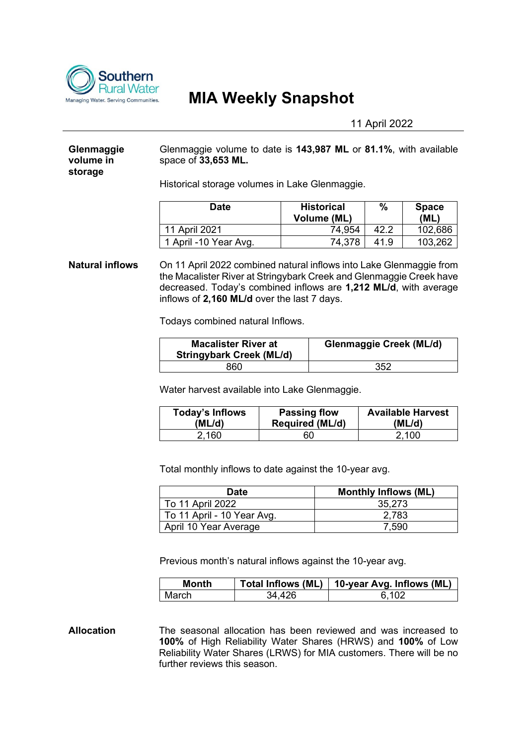

# **MIA Weekly Snapshot**

11 April 2022

## **Glenmaggie volume in storage**

Glenmaggie volume to date is **143,987 ML** or **81.1%**, with available space of **33,653 ML.**

Historical storage volumes in Lake Glenmaggie.

| Date                  | <b>Historical</b><br><b>Volume (ML)</b> | $\%$ | <b>Space</b><br>(ML) |
|-----------------------|-----------------------------------------|------|----------------------|
| 11 April 2021         | 74.954                                  | 42.2 | 102,686              |
| 1 April -10 Year Avg. | 74,378                                  | 41.9 | 103,262              |

**Natural inflows** On 11 April 2022 combined natural inflows into Lake Glenmaggie from the Macalister River at Stringybark Creek and Glenmaggie Creek have decreased. Today's combined inflows are **1,212 ML/d**, with average inflows of **2,160 ML/d** over the last 7 days.

Todays combined natural Inflows.

| <b>Macalister River at</b><br><b>Stringybark Creek (ML/d)</b> | <b>Glenmaggie Creek (ML/d)</b> |
|---------------------------------------------------------------|--------------------------------|
| 860                                                           | 352                            |

Water harvest available into Lake Glenmaggie.

| Today's Inflows | <b>Passing flow</b>    | <b>Available Harvest</b> |
|-----------------|------------------------|--------------------------|
| (ML/d)          | <b>Required (ML/d)</b> | (ML/d)                   |
| 2.160           | 60                     | 2,100                    |

Total monthly inflows to date against the 10-year avg.

| <b>Date</b>                | <b>Monthly Inflows (ML)</b> |
|----------------------------|-----------------------------|
| To 11 April 2022           | 35.273                      |
| To 11 April - 10 Year Avg. | 2,783                       |
| April 10 Year Average      | 7.590                       |

Previous month's natural inflows against the 10-year avg.

| Month |        | Total Inflows (ML)   10-year Avg. Inflows (ML) |
|-------|--------|------------------------------------------------|
| March | 34 A2R | ิ 102                                          |

**Allocation** The seasonal allocation has been reviewed and was increased to **100%** of High Reliability Water Shares (HRWS) and **100%** of Low Reliability Water Shares (LRWS) for MIA customers. There will be no further reviews this season.